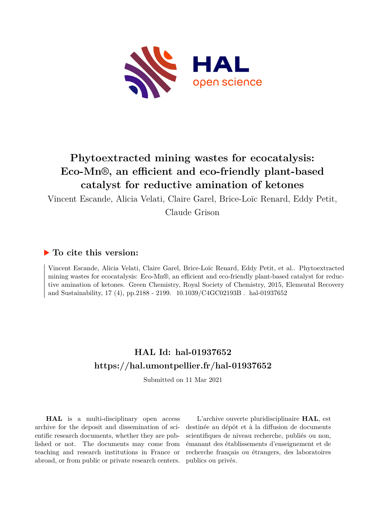

# **Phytoextracted mining wastes for ecocatalysis: Eco-Mn®, an efficient and eco-friendly plant-based catalyst for reductive amination of ketones**

Vincent Escande, Alicia Velati, Claire Garel, Brice-Loïc Renard, Eddy Petit,

Claude Grison

# **To cite this version:**

Vincent Escande, Alicia Velati, Claire Garel, Brice-Loïc Renard, Eddy Petit, et al.. Phytoextracted mining wastes for ecocatalysis: Eco-Mn®, an efficient and eco-friendly plant-based catalyst for reductive amination of ketones. Green Chemistry, Royal Society of Chemistry, 2015, Elemental Recovery and Sustainability,  $17$  (4), pp.2188 - 2199.  $10.1039/C4GC02193B$ . hal-01937652

# **HAL Id: hal-01937652 <https://hal.umontpellier.fr/hal-01937652>**

Submitted on 11 Mar 2021

**HAL** is a multi-disciplinary open access archive for the deposit and dissemination of scientific research documents, whether they are published or not. The documents may come from teaching and research institutions in France or abroad, or from public or private research centers.

L'archive ouverte pluridisciplinaire **HAL**, est destinée au dépôt et à la diffusion de documents scientifiques de niveau recherche, publiés ou non, émanant des établissements d'enseignement et de recherche français ou étrangers, des laboratoires publics ou privés.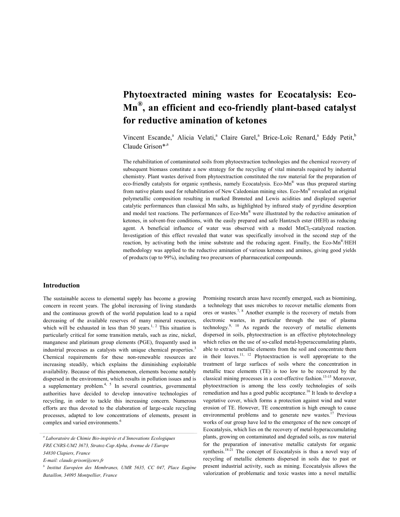# **Phytoextracted mining wastes for Ecocatalysis: Eco-Mn® , an efficient and eco-friendly plant-based catalyst for reductive amination of ketones**

Vincent Escande,<sup>a</sup> Alicia Velati,<sup>a</sup> Claire Garel,<sup>a</sup> Brice-Loïc Renard,<sup>a</sup> Eddy Petit,<sup>b</sup> Claude Grison<sup>\*,a</sup>

The rehabilitation of contaminated soils from phytoextraction technologies and the chemical recovery of subsequent biomass constitute a new strategy for the recycling of vital minerals required by industrial chemistry. Plant wastes derived from phytoextraction constituted the raw material for the preparation of eco-friendly catalysts for organic synthesis, namely Ecocatalysis. Eco-Mn® was thus prepared starting from native plants used for rehabilitation of New Caledonian mining sites. Eco-Mn® revealed an original polymetallic composition resulting in marked Brønsted and Lewis acidities and displayed superior catalytic performances than classical Mn salts, as highlighted by infrared study of pyridine desorption and model test reactions. The performances of Eco-Mn® were illustrated by the reductive amination of ketones, in solvent-free conditions, with the easily prepared and safe Hantzsch ester (HEH) as reducing agent. A beneficial influence of water was observed with a model MnCl<sub>2</sub>-catalyzed reaction. Investigation of this effect revealed that water was specifically involved in the second step of the reaction, by activating both the imine substrate and the reducing agent. Finally, the Eco-Mn®/HEH methodology was applied to the reductive amination of various ketones and amines, giving good yields of products (up to 99%), including two precursors of pharmaceutical compounds.

### **Introduction**

The sustainable access to elemental supply has become a growing concern in recent years. The global increasing of living standards and the continuous growth of the world population lead to a rapid decreasing of the available reserves of many mineral resources, which will be exhausted in less than 50 years.<sup>1, 2</sup> This situation is particularly critical for some transition metals, such as zinc, nickel, manganese and platinum group elements (PGE), frequently used in industrial processes as catalysts with unique chemical properties.<sup>3</sup> Chemical requirements for these non-renewable resources are increasing steadily, which explains the diminishing exploitable availability. Because of this phenomenon, elements become notably dispersed in the environment, which results in pollution issues and is a supplementary problem.<sup>4, 5</sup> In several countries, governmental authorities have decided to develop innovative technologies of recycling, in order to tackle this increasing concern. Numerous efforts are thus devoted to the elaboration of large-scale recycling processes, adapted to low concentrations of elements, present in complex and varied environments.<sup>6</sup>

Promising research areas have recently emerged, such as biomining, a technology that uses microbes to recover metallic elements from ores or wastes.7, 8 Another example is the recovery of metals from electronic wastes, in particular through the use of plasma technology.<sup>9, 10</sup> As regards the recovery of metallic elements dispersed in soils, phytoextraction is an effective phytotechnology which relies on the use of so-called metal-hyperaccumulating plants, able to extract metallic elements from the soil and concentrate them in their leaves.<sup>11, 12</sup> Phytoextraction is well appropriate to the treatment of large surfaces of soils where the concentration in metallic trace elements (TE) is too low to be recovered by the classical mining processes in a cost-effective fashion.<sup>13-15</sup> Moreover, phytoextraction is among the less costly technologies of soils remediation and has a good public acceptance.<sup>16</sup> It leads to develop a vegetative cover, which forms a protection against wind and water erosion of TE. However, TE concentration is high enough to cause environmental problems and to generate new wastes.<sup>17</sup> Previous works of our group have led to the emergence of the new concept of Ecocatalysis, which lies on the recovery of metal-hyperaccumulating plants, growing on contaminated and degraded soils, as raw material for the preparation of innovative metallic catalysts for organic synthesis.<sup>18-21</sup> The concept of Ecocatalysis is thus a novel way of recycling of metallic elements dispersed in soils due to past or present industrial activity, such as mining. Ecocatalysis allows the valorization of problematic and toxic wastes into a novel metallic

*a Laboratoire de Chimie Bio-inspirée et d'Innovations Ecologiques FRE CNRS-UM2 3673, Stratoz-Cap Alpha, Avenue de l'Europe 34830 Clapiers, France* 

*E-mail: claude.grison@cnrs.fr* 

*b Institut Européen des Membranes, UMR 5635, CC 047, Place Eugène Bataillon, 34095 Montpellier, France*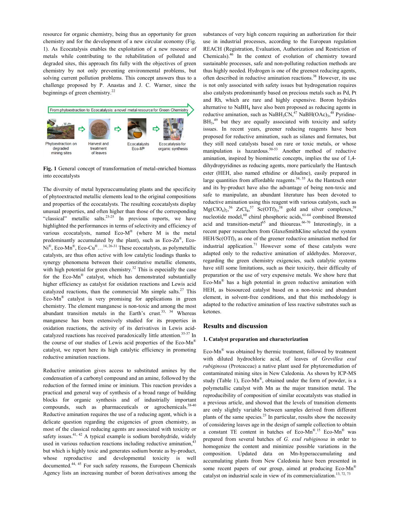resource for organic chemistry, being thus an opportunity for green chemistry and for the development of a new circular economy (Fig. 1). As Ecocatalysis enables the exploitation of a new resource of metals while contributing to the rehabilitation of polluted and degraded sites, this approach fits fully with the objectives of green chemistry by not only preventing environmental problems, but solving current pollution problems. This concept answers thus to a challenge proposed by P. Anastas and J. C. Warner, since the beginnings of green chemistry.<sup>22</sup>



**Fig. 1** General concept of transformation of metal-enriched biomass into ecocatalysts

The diversity of metal hyperaccumulating plants and the specificity of phytoextracted metallic elements lead to the original compositions and properties of the ecocatalysts. The resulting ecocatalysts display unusual properties, and often higher than those of the corresponding "classical" metallic salts.<sup>23-25</sup> In previous reports, we have highlighted the performances in terms of selectivity and efficiency of various ecocatalysts, named  $Eco-M^{\circledast}$  (where M is the metal predominantly accumulated by the plant), such as  $Eco-Zn^{\otimes}$ , Eco- $\mathrm{Ni}^{\circ}$ , Eco-Mn<sup>\codotright\mum Eco-Cu<sup>\codotright\mum 14, 26-31</sup> These ecocatalysts, as polymetallic</sup> catalysts, are thus often active with low catalytic loadings thanks to synergy phenomena between their constitutive metallic elements, with high potential for green chemistry.<sup>32</sup> This is especially the case for the Eco-Mn® catalyst, which has demonstrated substantially higher efficiency as catalyst for oxidation reactions and Lewis acid catalyzed reactions, than the commercial Mn simple salts.<sup>27</sup> This Eco-Mn® catalyst is very promising for applications in green chemistry. The element manganese is non-toxic and among the most abundant transition metals in the Earth's crust.<sup>33, 34</sup> Whereas manganese has been extensively studied for its properties in oxidation reactions, the activity of its derivatives in Lewis acidcatalyzed reactions has received paradoxically little attention.<sup>35-37</sup> In the course of our studies of Lewis acid properties of the Eco-Mn® catalyst, we report here its high catalytic efficiency in promoting reductive amination reactions.

Reductive amination gives access to substituted amines by the condensation of a carbonyl compound and an amine, followed by the reduction of the formed imine or iminium. This reaction provides a practical and general way of synthesis of a broad range of building blocks for organic synthesis and of industrially important compounds, such as pharmaceuticals or agrochemicals.<sup>38-40</sup> Reductive amination requires the use of a reducing agent, which is a delicate question regarding the exigencies of green chemistry, as most of the classical reducing agents are associated with toxicity or safety issues. $41, 42$  A typical example is sodium borohydride, widely used in various reduction reactions including reductive amination,<sup>43</sup> but which is highly toxic and generates sodium borate as by-product, whose reproductive and developmental toxicity is well documented.44, 45 For such safety reasons, the European Chemicals Agency lists an increasing number of boron derivatives among the

substances of very high concern requiring an authorization for their use in industrial processes, according to the European regulation REACH (Registration, Evaluation, Authorization and Restriction of Chemicals).<sup>46</sup> In the context of evolution of chemistry toward sustainable processes, safe and non-polluting reduction methods are thus highly needed. Hydrogen is one of the greenest reducing agents, often described in reductive amination reactions.<sup>38</sup> However, its use is not only associated with safety issues but hydrogenation requires also catalysts predominantly based on precious metals such as Pd, Pt and Rh, which are rare and highly expensive. Boron hydrides alternative to NaBH<sup>4</sup> have also been proposed as reducing agents in reductive amination, such as  $NabH_3CN, ^{47}NabH(OAc)_3, ^{48}$  Pyridine- $BH<sub>3</sub>$ <sup>49</sup> but they are equally associated with toxicity and safety issues. In recent years, greener reducing reagents have been proposed for reductive amination, such as silanes and formates, but they still need catalysts based on rare or toxic metals, or whose manipulation is hazardous.50-53 Another method of reductive amination, inspired by biomimetic concepts, implies the use of 1,4 dihydropyridines as reducing agents, more particularly the Hantzsch ester (HEH, also named ethidine or diludine), easily prepared in large quantities from affordable reagents.<sup>54, 55</sup> As the Hantzsch ester and its by-product have also the advantage of being non-toxic and safe to manipulate, an abundant literature has been devoted to reductive amination using this reagent with various catalysts, such as  $Mg(CIO<sub>4</sub>)<sub>2</sub>$ <sup>56</sup>  $ZrCl<sub>4</sub>$ <sup>57</sup> Sc(OTf)<sub>3</sub><sup>58</sup> gold and silver complexes,<sup>59</sup> nucleotide model,<sup>60</sup> chiral phosphoric acids,<sup>61-64</sup> combined Brønsted acid and transition-metal $^{65}$  and thioureas. $^{66-70}$  Interestingly, in a recent paper researchers from GlaxoSmithKline selected the system  $HEH/Sc(OTf)$ <sub>3</sub> as one of the greener reductive amination method for industrial application.<sup>71</sup> However some of these catalysts were adapted only to the reductive amination of aldehydes. Moreover, regarding the green chemistry exigencies, such catalytic systems have still some limitations, such as their toxicity, their difficulty of preparation or the use of very expensive metals. We show here that Eco-Mn<sup>®</sup> has a high potential in green reductive amination with HEH, as biosourced catalyst based on a non-toxic and abundant element, in solvent-free conditions, and that this methodology is adapted to the reductive amination of less reactive substrates such as ketones.

### **Results and discussion**

#### **1. Catalyst preparation and characterization**

Eco-Mn® was obtained by thermic treatment, followed by treatment with diluted hydrochloric acid, of leaves of *Grevillea exul rubiginosa* (Proteaceae) a native plant used for phytoremediation of contaminated mining sites in New Caledonia. As shown by ICP-MS study (Table 1), Eco-Mn®, obtained under the form of powder, is a polymetallic catalyst with Mn as the major transition metal. The reproducibility of composition of similar ecocatalysts was studied in a previous article, and showed that the levels of transition elements are only slightly variable between samples derived from different plants of the same species. $^{23}$  In particular, results show the necessity of considering leaves age in the design of sample collection to obtain a constant TE content in batches of Eco-Mn<sup>® 15</sup> Eco-Mn<sup>®</sup> was prepared from several batches of *G. exul rubiginosa* in order to homogenize the content and minimize possible variations in the composition. Updated data on Mn-hyperaccumulating and accumulating plants from New Caledonia have been presented in some recent papers of our group, aimed at producing Eco-Mn<sup>®</sup> catalyst on industrial scale in view of its commercialization.<sup>13, 72, 73</sup>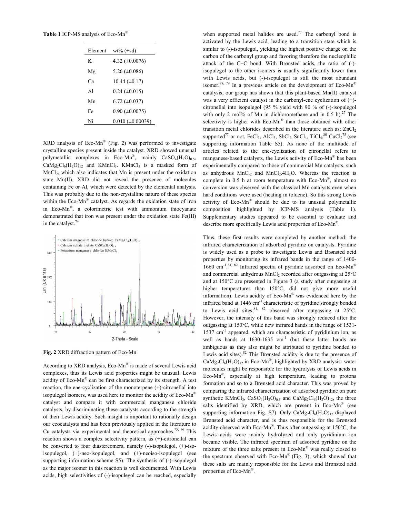**Table 1** ICP-MS analysis of Eco-Mn®

| Element        | $wt\%$ ( $\pm sd$ )     |
|----------------|-------------------------|
| K              | 4.32 $(\pm 0.0076)$     |
| Mg             | 5.26 $(\pm 0.086)$      |
| Cа             | $10.44 \ (\pm 0.17)$    |
| A <sub>1</sub> | $0.24 \ (\pm 0.015)$    |
| Mn             | $6.72 \ (\pm 0.037)$    |
| Fe             | $0.90 \ (\pm 0.0075)$   |
| Ni             | $0.040 \ (\pm 0.00039)$ |

 $XRD$  analysis of Eco-Mn® (Fig. 2) was performed to investigate crystalline species present inside the catalyst. XRD showed unusual polymetallic complexes in Eco-Mn®, mainly  $CaSO_4(H_2O)_{0.5}$ ,  $CaMg_2Cl_6(H_2O)_{12}$  and KMnCl<sub>3</sub>. KMnCl<sub>3</sub> is a masked form of MnCl<sup>2</sup> , which also indicates that Mn is present under the oxidation state Mn(II). XRD did not reveal the presence of molecules containing Fe or Al, which were detected by the elemental analysis. This was probably due to the non-crystalline nature of these species within the Eco-Mn® catalyst. As regards the oxidation state of iron in Eco-Mn® , a colorimetric test with ammonium thiocyanate demonstrated that iron was present under the oxidation state Fe(III) in the catalyst.<sup>74</sup>



**Fig. 2** XRD diffraction pattern of Eco-Mn

According to XRD analysis, Eco-Mn® is made of several Lewis acid complexes, thus its Lewis acid properties might be unusual. Lewis acidity of Eco-Mn® can be first characterized by its strength. A test reaction, the ene-cyclization of the monoterpene (+)-citronellal into isopulegol isomers, was used here to monitor the acidity of Eco-Mn® catalyst and compare it with commercial manganese chloride catalysts, by discriminating these catalysts according to the strength of their Lewis acidity. Such insight is important to rationally design our ecocatalysts and has been previously applied in the literature to Cu catalysts via experimental and theoretical approaches.<sup>75, 76</sup> This reaction shows a complex selectivity pattern, as (+)-citronellal can be converted to four diastereomers, namely (-)-isopulegol, (+)-isoisopulegol, (+)-neo-isopulegol, and (+)-neoiso-isopulegol (see supporting information scheme S5). The synthesis of (-)-isopulegol as the major isomer in this reaction is well documented. With Lewis acids, high selectivities of (-)-isopulegol can be reached, especially

when supported metal halides are used.<sup>77</sup> The carbonyl bond is activated by the Lewis acid, leading to a transition state which is similar to (-)-isopulegol, yielding the highest positive charge on the carbon of the carbonyl group and favoring therefore the nucleophilic attack of the C=C bond. With Brønsted acids, the ratio of (-) isopulegol to the other isomers is usually significantly lower than with Lewis acids, but (-)-isopulegol is still the most abundant isomer.<sup>78, 79</sup> In a previous article on the development of Eco-Mn<sup>®</sup> catalysis, our group has shown that this plant-based Mn(II) catalyst was a very efficient catalyst in the carbonyl-ene cyclization of  $(+)$ citronellal into isopulegol (95 % yield with 90 % of (-)-isopulegol with only 2 mol% of Mn in dichloromethane and in 0.5 h).<sup>27</sup> The selectivity is higher with Eco-Mn® than those obtained with other transition metal chlorides described in the literature such as:  $ZnCl<sub>2</sub>$ supported<sup>77</sup> or not, FeCl<sub>3</sub>, AlCl<sub>3</sub>, SbCl<sub>3,</sub> SnCl<sub>4</sub>, TiCl<sub>4</sub>, <sup>80</sup> CuCl<sub>2</sub><sup>75</sup> (see supporting information Table S5). As none of the multitude of articles related to the ene-cyclization of citronellal refers to manganese-based catalysts, the Lewis activity of Eco-Mn® has been experimentally compared to those of commercial Mn catalysts, such as anhydrous  $MnCl_2$  and  $MnCl_2.4H_2O$ . Whereas the reaction is complete in 0.5 h at room temperature with Eco-Mn® , almost no conversion was observed with the classical Mn catalysts even when hard conditions were used (heating in toluene). So this strong Lewis activity of Eco-Mn® should be due to its unusual polymetallic composition highlighted by ICP-MS analysis (Table 1). Supplementary studies appeared to be essential to evaluate and describe more specifically Lewis acid properties of Eco-Mn® .

Thus, these first results were completed by another method: the infrared characterization of adsorbed pyridine on catalysts. Pyridine is widely used as a probe to investigate Lewis and Brønsted acid properties by monitoring its infrared bands in the range of 1400- 1660 cm<sup>-1, 81, 82</sup> Infrared spectra of pyridine adsorbed on Eco-Mn<sup>®</sup> and commercial anhydrous  $MnCl<sub>2</sub>$  recorded after outgassing at 25 $°C$ and at 150°C are presented in Figure 3 (a study after outgassing at higher temperatures than 150°C, did not give more useful information). Lewis acidity of Eco-Mn® was evidenced here by the infrared band at 1446 cm<sup>-1</sup> characteristic of pyridine strongly bonded to Lewis acid sites,  $81, 82$  observed after outgassing at  $25^{\circ}$ C. However, the intensity of this band was strongly reduced after the outgassing at 150°C, while new infrared bands in the range of 1531-  $1537 \text{ cm}^{-1}$  appeared, which are characteristic of pyridinium ion, as well as bands at  $1630-1635$  cm<sup>-1</sup> (but these latter bands are ambiguous as they also might be attributed to pyridine bonded to Lewis acid sites). $82$  This Brønsted acidity is due to the presence of  $CaMg_2Cl_6(H_2O)_{12}$  in Eco-Mn<sup>®</sup>, highlighted by XRD analysis: water molecules might be responsible for the hydrolysis of Lewis acids in Eco-Mn® , especially at high temperature, leading to protons formation and so to a Brønsted acid character. This was proved by comparing the infrared characterization of adsorbed pyridine on pure synthetic KMnCl<sub>3</sub>,  $CaSO_4(H_2O)_{0.5}$  and  $CaMg_2Cl_6(H_2O)_{12}$ , the three salts identified by XRD, which are present in Eco-Mn® (see supporting information Fig. S7). Only  $CaMg_2Cl_6(H_2O)_{12}$  displayed Brønsted acid character, and is thus responsible for the Brønsted acidity observed with Eco-Mn<sup>®</sup>. Thus after outgassing at 150 $^{\circ}$ C, the Lewis acids were mainly hydrolyzed and only pyridinium ion became visible. The infrared spectrum of adsorbed pyridine on the mixture of the three salts present in Eco-Mn® was really closed to the spectrum observed with Eco-Mn<sup>®</sup> (Fig. 3), which showed that these salts are mainly responsible for the Lewis and Brønsted acid properties of Eco-Mn®.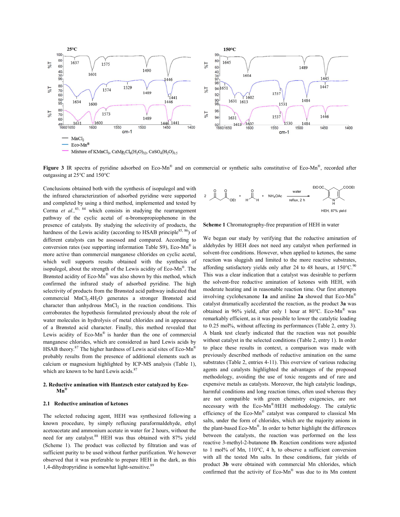

Figure 3 IR spectra of pyridine adsorbed on Eco-Mn® and on commercial or synthetic salts constitutive of Eco-Mn®, recorded after outgassing at 25°C and 150°C

Conclusions obtained both with the synthesis of isopulegol and with the infrared characterization of adsorbed pyridine were supported and completed by using a third method, implemented and tested by Corma *et al.,*83, 84 which consists in studying the rearrangement pathway of the cyclic acetal of α-bromopropiophenone in the presence of catalysts. By studying the selectivity of products, the hardness of the Lewis acidity (according to HSAB principle<sup>85, 86</sup>) of different catalysts can be assessed and compared. According to conversion rates (see supporting information Table S9), Eco-Mn® is more active than commercial manganese chlorides on cyclic acetal, which well supports results obtained with the synthesis of isopulegol, about the strength of the Lewis acidity of Eco-Mn® . The Brønsted acidity of Eco-Mn® was also shown by this method, which confirmed the infrared study of adsorbed pyridine. The high selectivity of products from the Brønsted acid pathway indicated that commercial MnCl<sup>2</sup> .4H2O generates a stronger Brønsted acid character than anhydrous  $MnCl<sub>2</sub>$  in the reaction conditions. This corroborates the hypothesis formulated previously about the role of water molecules in hydrolysis of metal chlorides and in appearance of a Brønsted acid character. Finally, this method revealed that Lewis acidity of Eco-Mn® is harder than the one of commercial manganese chlorides, which are considered as hard Lewis acids by HSAB theory. $87$  The higher hardness of Lewis acid sites of Eco-Mn<sup>®</sup> probably results from the presence of additional elements such as calcium or magnesium highlighted by ICP-MS analysis (Table 1), which are known to be hard Lewis acids.<sup>87</sup>

# **2. Reductive amination with Hantzsch ester catalyzed by Eco-Mn®**

#### **2.1 Reductive amination of ketones**

The selected reducing agent, HEH was synthesized following a known procedure, by simply refluxing paraformaldehyde, ethyl acetoacetate and ammonium acetate in water for 2 hours, without the need for any catalyst.<sup>88</sup> HEH was thus obtained with 87% yield (Scheme 1). The product was collected by filtration and was of sufficient purity to be used without further purification. We however observed that it was preferable to prepare HEH in the dark, as this 1,4-dihydropyridine is somewhat light-sensitive.<sup>89</sup>



#### **Scheme 1** Chromatography-free preparation of HEH in water

We began our study by verifying that the reductive amination of aldehydes by HEH does not need any catalyst when performed in solvent-free conditions. However, when applied to ketones, the same reaction was sluggish and limited to the more reactive substrates, affording satisfactory yields only after 24 to 48 hours, at  $150^{\circ}$ C.<sup>90</sup> This was a clear indication that a catalyst was desirable to perform the solvent-free reductive amination of ketones with HEH, with moderate heating and in reasonable reaction time. Our first attempts involving cyclohexanone **1a** and aniline **2a** showed that Eco-Mn® catalyst dramatically accelerated the reaction, as the product **3a** was obtained in 96% yield, after only 1 hour at 80°C. Eco-Mn® was remarkably efficient, as it was possible to lower the catalytic loading to 0.25 mol%, without affecting its performances (Table 2, entry 3). A blank test clearly indicated that the reaction was not possible without catalyst in the selected conditions (Table 2, entry 1). In order to place these results in context, a comparison was made with previously described methods of reductive amination on the same substrates (Table 2, entries 4-11). This overview of various reducing agents and catalysts highlighted the advantages of the proposed methodology, avoiding the use of toxic reagents and of rare and expensive metals as catalysts. Moreover, the high catalytic loadings, harmful conditions and long reaction times, often used whereas they are not compatible with green chemistry exigencies, are not necessary with the Eco-Mn® /HEH methodology. The catalytic efficiency of the Eco-Mn® catalyst was compared to classical Mn salts, under the form of chlorides, which are the majority anions in the plant-based Eco-Mn® . In order to better highlight the differences between the catalysts, the reaction was performed on the less reactive 3-methyl-2-butanone **1b**. Reaction conditions were adjusted to 1 mol% of Mn, 110°C, 4 h, to observe a sufficient conversion with all the tested Mn salts. In these conditions, fair yields of product **3b** were obtained with commercial Mn chlorides, which confirmed that the activity of Eco-Mn® was due to its Mn content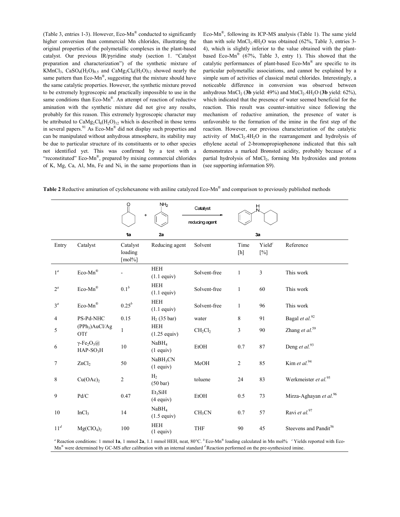(Table 3, entries 1-3). However, Eco-Mn® conducted to significantly higher conversion than commercial Mn chlorides, illustrating the original properties of the polymetallic complexes in the plant-based catalyst. Our previous IR/pyridine study (section 1. "Catalyst preparation and characterization") of the synthetic mixture of KMnCl<sub>3</sub>, CaSO<sub>4</sub>(H<sub>2</sub>O)<sub>0.5</sub> and CaMg<sub>2</sub>Cl<sub>6</sub>(H<sub>2</sub>O)<sub>12</sub> showed nearly the same pattern than Eco-Mn®, suggesting that the mixture should have the same catalytic properties. However, the synthetic mixture proved to be extremely hygroscopic and practically impossible to use in the same conditions than Eco-Mn $^{\circledR}$ . An attempt of reaction of reductive amination with the synthetic mixture did not give any results, probably for this reason. This extremely hygroscopic character may be attributed to  $CaMg_2Cl_6(H_2O)_{12}$  which is described in those terms in several papers. $91$  As Eco-Mn<sup>®</sup> did not display such properties and can be manipulated without anhydrous atmosphere, its stability may be due to particular structure of its constituents or to other species not identified yet. This was confirmed by a test with a "reconstituted" Eco-Mn®, prepared by mixing commercial chlorides of K, Mg, Ca, Al, Mn, Fe and Ni, in the same proportions than in

Eco-Mn® , following its ICP-MS analysis (Table 1). The same yield than with sole  $MnCl<sub>2</sub>.4H<sub>2</sub>O$  was obtained (62%, Table 3, entries 3-4), which is slightly inferior to the value obtained with the plantbased Eco-Mn®  $(67\%,$  Table 3, entry 1). This showed that the catalytic performances of plant-based Eco-Mn® are specific to its particular polymetallic associations, and cannot be explained by a simple sum of activities of classical metal chlorides. Interestingly, a noticeable difference in conversion was observed between anhydrous  $MnCl_2$  (3b yield: 49%) and  $MnCl_2$ .4H<sub>2</sub>O (3b yield: 62%), which indicated that the presence of water seemed beneficial for the reaction. This result was counter-intuitive since following the mechanism of reductive amination, the presence of water is unfavorable to the formation of the imine in the first step of the reaction. However, our previous characterization of the catalytic activity of  $MnCl<sub>2</sub>$ .  $4H<sub>2</sub>O$  in the rearrangement and hydrolysis of ethylene acetal of 2-bromopropiophenone indicated that this salt demonstrates a marked Brønsted acidity, probably because of a partial hydrolysis of MnCl<sub>2</sub>, forming Mn hydroxides and protons (see supporting information S9).

|                 |                                                          | O<br>$\ddot{}$                                       | NH <sub>2</sub>                      | Catalyst<br>reducing agent      |                | H.                           |                                    |
|-----------------|----------------------------------------------------------|------------------------------------------------------|--------------------------------------|---------------------------------|----------------|------------------------------|------------------------------------|
|                 |                                                          | 1a                                                   | 2a                                   |                                 |                | 3a                           |                                    |
| Entry           | Catalyst                                                 | Catalyst<br>loading<br>$\lceil \text{mol} \% \rceil$ | Reducing agent                       | Solvent                         | Time<br>[h]    | Yield <sup>c</sup><br>$[\%]$ | Reference                          |
| $1^a$           | Eco-Mn®                                                  |                                                      | <b>HEH</b><br>$(1.1$ equiv)          | Solvent-free                    | $\mathbf{1}$   | $\overline{3}$               | This work                          |
| $2^a$           | Eco-Mn®                                                  | 0.1 <sup>b</sup>                                     | <b>HEH</b><br>$(1.1$ equiv)          | Solvent-free                    | $\mathbf{1}$   | 60                           | This work                          |
| $3^a$           | $\mbox{Eco-Mn}^{\circledR}$                              | $0.25^{b}$                                           | <b>HEH</b><br>$(1.1$ equiv)          | Solvent-free                    | $\mathbf{1}$   | 96                           | This work                          |
| $\overline{4}$  | PS-Pd-NHC                                                | 0.15                                                 | H <sub>2</sub> (35 bar)              | water                           | 8              | 91                           | Bagal et al. <sup>92</sup>         |
| 5               | (PPh <sub>3</sub> )AuCl/Ag<br>OTf                        | $\mathbf{1}$                                         | <b>HEH</b><br>$(1.25$ equiv)         | CH <sub>2</sub> Cl <sub>2</sub> | 3              | 90                           | Zhang et al. <sup>59</sup>         |
| 6               | $\gamma$ -Fe <sub>2</sub> O <sub>3</sub> @<br>$HAP-SO3H$ | 10                                                   | NaBH <sub>4</sub><br>$(1$ equiv)     | EtOH                            | 0.7            | 87                           | Deng et al. $93$                   |
| $7\phantom{.0}$ | ZnCl <sub>2</sub>                                        | 50                                                   | NaBH <sub>3</sub> CN<br>$(1$ equiv)  | MeOH                            | $\overline{c}$ | 85                           | Kim et al. $94$                    |
| 8               | Cu(OAc) <sub>2</sub>                                     | $\overline{c}$                                       | H <sub>2</sub><br>$(50 \text{ bar})$ | toluene                         | 24             | 83                           | Werkmeister et al. <sup>95</sup>   |
| 9               | $\mathrm{Pd}/\mathrm{C}$                                 | 0.47                                                 | $Et_3SiH$<br>$(4$ equiv)             | EtOH                            | 0.5            | 73                           | Mirza-Aghayan et al. <sup>96</sup> |
| 10              | InCl <sub>3</sub>                                        | 14                                                   | NaBH <sub>4</sub><br>$(1.5$ equiv)   | CH <sub>3</sub> CN              | 0.7            | 57                           | Ravi et al.97                      |
| 11 <sup>d</sup> | Mg(CIO <sub>4</sub> ) <sub>2</sub>                       | 100                                                  | <b>HEH</b><br>$(1$ equiv)            | THF                             | 90             | 45                           | Steevens and Pandit <sup>56</sup>  |

Table 2 Reductive amination of cyclohexanone with aniline catalyzed Eco-Mn® and comparison to previously published methods

*<sup>a</sup>*Reaction conditions: 1 mmol **1a**, 1 mmol **2a**, 1.1 mmol HEH, neat, 80°C. *<sup>b</sup>*Eco-Mn® loading calculated in Mn mol% *<sup>c</sup>*Yields reported with Eco-Mn<sup>®</sup> were determined by GC-MS after calibration with an internal standard <sup>d</sup> Reaction performed on the pre-synthesized imine.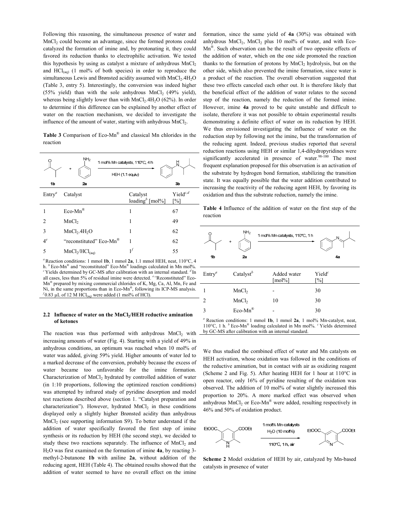Following this reasoning, the simultaneous presence of water and MnCl<sub>2</sub> could become an advantage, since the formed protons could catalyzed the formation of imine and, by protonating it, they could favored its reduction thanks to electrophilic activation. We tested this hypothesis by using as catalyst a mixture of anhydrous  $MnCl<sub>2</sub>$ and  $\text{HCl}_{(aq)}$  (1 mol% of both species) in order to reproduce the simultaneous Lewis and Brønsted acidity assumed with MnCl<sub>2</sub>.4H<sub>2</sub>O (Table 3, entry 5). Interestingly, the conversion was indeed higher (55% yield) than with the sole anhydrous  $MnCl<sub>2</sub>$  (49% yield), whereas being slightly lower than with  $MnCl<sub>2</sub>.4H<sub>2</sub>O$  (62%). In order to determine if this difference can be explained by another effect of water on the reaction mechanism, we decided to investigate the influence of the amount of water, starting with anhydrous  $MnCl<sub>2</sub>$ .

**Table 3** Comparison of Eco-Mn® and classical Mn chlorides in the reaction

| 1b          | NH <sub>2</sub><br>$\ddot{}$<br>2а     | 1 mol% Mn catalysts, 110°C, 4 h<br>HEH (1.1 equiv) | H<br>3 <sub>b</sub>               |
|-------------|----------------------------------------|----------------------------------------------------|-----------------------------------|
| $Entropy^a$ | Catalyst                               | Catalyst<br>loading <sup>b</sup> [mol%]            | Yield $c,d$<br>$\lceil \% \rceil$ |
|             | $Eco-Mn^{\circledR}$                   |                                                    | 67                                |
| 2           | MnCl <sub>2</sub>                      |                                                    | 49                                |
| 3           | MnCl <sub>2</sub> .4H <sub>2</sub> O   |                                                    | 62                                |
| $4^e$       | "reconstituted" Eco-Mn <sup>®</sup>    |                                                    | 62                                |
| 5           | MnCl <sub>2</sub> /HCl <sub>(aq)</sub> | 1J                                                 | 55                                |

 $a$ Reaction conditions: 1 mmol **1b**, 1 mmol **2a**, 1.1 mmol HEH, neat,  $110^{\circ}$ C, 4 h. <sup>*b*</sup>Eco-Mn<sup>®</sup> and "reconstituted" Eco-Mn<sup>®</sup> loadings calculated in Mn mol%. <sup>c</sup>Yields determined by GC-MS after calibration with an internal standard. <sup>*d*</sup>In all cases, less than 5% of residual imine were detected. *<sup>e</sup> "*Reconstituted" Eco-Mn® prepared by mixing commercial chlorides of K, Mg, Ca, Al, Mn, Fe and Ni, in the same proportions than in Eco-Mn® , following its ICP-MS analysis.  $f(0.83 \mu L)$  of 12 M HCl<sub>(aq)</sub> were added (1 mol% of HCl).

#### **2.2 Influence of water on the MnCl<sup>2</sup> /HEH reductive amination of ketones**

The reaction was thus performed with anhydrous  $MnCl<sub>2</sub>$  with increasing amounts of water (Fig. 4). Starting with a yield of 49% in anhydrous conditions, an optimum was reached when 10 mol% of water was added, giving 59% yield. Higher amounts of water led to a marked decrease of the conversion, probably because the excess of water became too unfavorable for the imine formation. Characterization of MnCl<sub>2</sub> hydrated by controlled addition of water (in 1:10 proportions, following the optimized reaction conditions) was attempted by infrared study of pyridine desorption and model test reactions described above (section 1. "Catalyst preparation and  $characterization$ "). However, hydrated  $MnCl<sub>2</sub>$  in these conditions displayed only a slightly higher Brønsted acidity than anhydrous  $MnCl<sub>2</sub>$  (see supporting information S9). To better understand if the addition of water specifically favored the first step of imine synthesis or its reduction by HEH (the second step), we decided to study these two reactions separately. The influence of MnCl<sub>2</sub> and H2O was first examined on the formation of imine **4a**, by reacting 3 methyl-2-butanone **1b** with aniline **2a**, without addition of the reducing agent, HEH (Table 4). The obtained results showed that the addition of water seemed to have no overall effect on the imine

formation, since the same yield of **4a** (30%) was obtained with anhydrous  $MnCl_2$ ,  $MnCl_2$  plus 10 mol% of water, and with Eco-Mn<sup>®</sup>. Such observation can be the result of two opposite effects of the addition of water, which on the one side promoted the reaction thanks to the formation of protons by  $MnCl<sub>2</sub>$  hydrolysis, but on the other side, which also prevented the imine formation, since water is a product of the reaction. The overall observation suggested that these two effects canceled each other out. It is therefore likely that the beneficial effect of the addition of water relates to the second step of the reaction, namely the reduction of the formed imine. However, imine **4a** proved to be quite unstable and difficult to isolate, therefore it was not possible to obtain experimental results demonstrating a definite effect of water on its reduction by HEH. We thus envisioned investigating the influence of water on the reduction step by following not the imine, but the transformation of the reducing agent. Indeed, previous studies reported that several reduction reactions using HEH or similar 1,4-dihydropyridines were significantly accelerated in presence of water.<sup>98-100</sup> The most frequent explanation proposed for this observation is an activation of the substrate by hydrogen bond formation, stabilizing the transition state. It was equally possible that the water addition contributed to increasing the reactivity of the reducing agent HEH, by favoring its oxidation and thus the substrate reduction, namely the imine.

**Table 4** Influence of the addition of water on the first step of the reaction

| 1 <sub>b</sub> | NH <sub>2</sub><br>$\ddot{}$<br>2a | 1 mol% Mn catalysts, 110°C, 1 h              | N<br>4a                             |
|----------------|------------------------------------|----------------------------------------------|-------------------------------------|
| $Entry^a$      | Catalyst <sup>b</sup>              | Added water<br>$\lceil \text{mol} \% \rceil$ | Yield <sup>c</sup><br>$\frac{1}{2}$ |
|                | MnCl <sub>2</sub>                  |                                              | 30                                  |
| $\overline{c}$ | MnCl <sub>2</sub>                  | 10                                           | 30                                  |
| 3              | $Eco-Mn^{\circledR}$               |                                              | 30                                  |

*<sup>a</sup>*Reaction conditions: 1 mmol **1b**, 1 mmol **2a**, 1 mol% Mn-catalyst, neat, 110°C, 1 h. <sup>b</sup> Eco-Mn® loading calculated in Mn mol%. <sup>c</sup> Yields determined by GC-MS after calibration with an internal standard.

We thus studied the combined effect of water and Mn catalysts on HEH activation, whose oxidation was followed in the conditions of the reductive amination, but in contact with air as oxidizing reagent (Scheme 2 and Fig. 5). After heating HEH for 1 hour at 110°C in open reactor, only 16% of pyridine resulting of the oxidation was observed. The addition of 10 mol% of water slightly increased this proportion to 20%. A more marked effect was observed when anhydrous  $MnCl_2$  or Eco-Mn<sup>®</sup> were added, resulting respectively in 46% and 50% of oxidation product.



**Scheme 2** Model oxidation of HEH by air, catalyzed by Mn-based catalysts in presence of water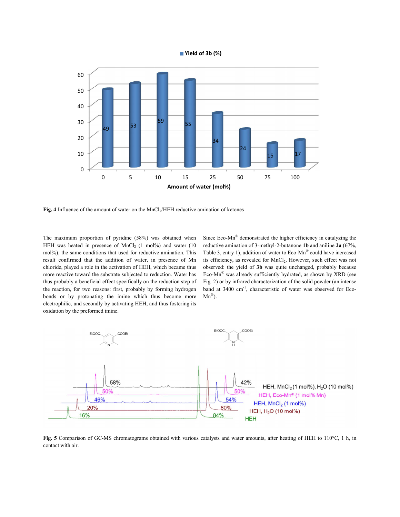



**Fig. 4** Influence of the amount of water on the  $MnCl_2/HEH$  reductive amination of ketones

The maximum proportion of pyridine (58%) was obtained when HEH was heated in presence of  $MnCl<sub>2</sub>$  (1 mol%) and water (10 mol%), the same conditions that used for reductive amination. This result confirmed that the addition of water, in presence of Mn chloride, played a role in the activation of HEH, which became thus more reactive toward the substrate subjected to reduction. Water has thus probably a beneficial effect specifically on the reduction step of the reaction, for two reasons: first, probably by forming hydrogen bonds or by protonating the imine which thus become more electrophilic, and secondly by activating HEH, and thus fostering its oxidation by the preformed imine.

Since Eco-Mn® demonstrated the higher efficiency in catalyzing the reductive amination of 3-methyl-2-butanone **1b** and aniline **2a** (67%, Table 3, entry 1), addition of water to Eco-Mn® could have increased its efficiency, as revealed for MnCl<sub>2</sub>. However, such effect was not observed: the yield of **3b** was quite unchanged, probably because Eco-Mn® was already sufficiently hydrated, as shown by XRD (see Fig. 2) or by infrared characterization of the solid powder (an intense band at 3400 cm<sup>-1</sup>, characteristic of water was observed for Eco- $Mn^{\circledR}$ ).



**Fig. 5** Comparison of GC-MS chromatograms obtained with various catalysts and water amounts, after heating of HEH to 110°C, 1 h, in contact with air.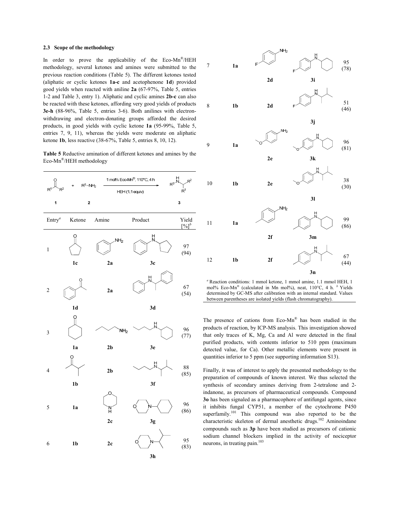#### **2.3 Scope of the methodology**

In order to prove the applicability of the Eco-Mn®/HEH methodology, several ketones and amines were submitted to the previous reaction conditions (Table 5). The different ketones tested (aliphatic or cyclic ketones **1a-c** and acetophenone **1d**) provided good yields when reacted with aniline **2a** (67-97%, Table 5, entries 1-2 and Table 3, entry 1). Aliphatic and cyclic amines **2b-c** can also be reacted with these ketones, affording very good yields of products **3e-h** (88-96%, Table 5, entries 3-6). Both anilines with electronwithdrawing and electron-donating groups afforded the desired products, in good yields with cyclic ketone **1a** (95-99%, Table 5, entries 7, 9, 11), whereas the yields were moderate on aliphatic ketone **1b**, less reactive (38-67%, Table 5, entries 8, 10, 12).

**Table 5** Reductive amination of different ketones and amines by the Eco-Mn® /HEH methodology





*a* Reaction conditions: 1 mmol ketone, 1 mmol amine, 1.1 mmol HEH, 1 mol% Eco-Mn<sup>®</sup> (calculated in Mn mol%), neat, 110°C, 4 h. <sup>b</sup> Yields determined by GC-MS after calibration with an internal standard. Values between parentheses are isolated yields (flash chromatography).

The presence of cations from Eco-Mn® has been studied in the products of reaction, by ICP-MS analysis. This investigation showed that only traces of K, Mg, Ca and Al were detected in the final purified products, with contents inferior to 510 ppm (maximum detected value, for Ca). Other metallic elements were present in quantities inferior to 5 ppm (see supporting information S13).

Finally, it was of interest to apply the presented methodology to the preparation of compounds of known interest. We thus selected the synthesis of secondary amines deriving from 2-tetralone and 2 indanone, as precursors of pharmaceutical compounds. Compound **3o** has been signaled as a pharmacophore of antifungal agents, since it inhibits fungal CYP51, a member of the cytochrome P450 superfamily.<sup>101</sup> This compound was also reported to be the characteristic skeleton of dermal anesthetic drugs.<sup>102</sup> Aminoindane compounds such as **3p** have been studied as precursors of cationic sodium channel blockers implied in the activity of nociceptor neurons, in treating pain. $103$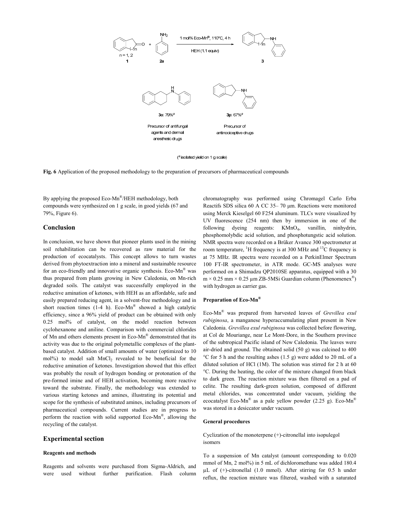

(<sup>a</sup> isolated yield on 1 g scale)

**Fig. 6** Application of the proposed methodology to the preparation of precursors of pharmaceutical compounds

By applying the proposed Eco-Mn®/HEH methodology, both compounds were synthesized on 1 g scale, in good yields (67 and 79%, Figure 6).

# **Conclusion**

In conclusion, we have shown that pioneer plants used in the mining soil rehabilitation can be recovered as raw material for the production of ecocatalysts. This concept allows to turn wastes derived from phytoextraction into a mineral and sustainable resource for an eco-friendly and innovative organic synthesis. Eco-Mn® was thus prepared from plants growing in New Caledonia, on Mn-rich degraded soils. The catalyst was successfully employed in the reductive amination of ketones, with HEH as an affordable, safe and easily prepared reducing agent, in a solvent-free methodology and in short reaction times  $(1-4 h)$ . Eco-Mn® showed a high catalytic efficiency, since a 96% yield of product can be obtained with only 0.25 mol% of catalyst, on the model reaction between cyclohexanone and aniline. Comparison with commercial chlorides of Mn and others elements present in Eco-Mn® demonstrated that its activity was due to the original polymetallic complexes of the plantbased catalyst. Addition of small amounts of water (optimized to 10  $mol\%$ ) to model salt  $MnCl<sub>2</sub>$  revealed to be beneficial for the reductive amination of ketones. Investigation showed that this effect was probably the result of hydrogen bonding or protonation of the pre-formed imine and of HEH activation, becoming more reactive toward the substrate. Finally, the methodology was extended to various starting ketones and amines, illustrating its potential and scope for the synthesis of substituted amines, including precursors of pharmaceutical compounds. Current studies are in progress to perform the reaction with solid supported Eco-Mn® , allowing the recycling of the catalyst.

# **Experimental section**

#### **Reagents and methods**

Reagents and solvents were purchased from Sigma-Aldrich, and were used without further purification. Flash column chromatography was performed using Chromagel Carlo Erba Reactifs SDS silica 60 A CC 35– 70 µm. Reactions were monitored using Merck Kieselgel 60 F254 aluminum. TLCs were visualized by UV fluorescence (254 nm) then by immersion in one of the following dyeing reagents: KMnO<sub>4</sub>, vanillin, ninhydrin, phosphomolybdic acid solution, and phosphotungstic acid solution. NMR spectra were recorded on a Brüker Avance 300 spectrometer at room temperature, <sup>1</sup>H frequency is at 300 MHz and <sup>13</sup>C frequency is at 75 MHz. IR spectra were recorded on a PerkinElmer Spectrum 100 FT-IR spectrometer, in ATR mode. GC-MS analyses were performed on a Shimadzu QP2010SE apparatus, equipped with a 30  $m \times 0.25$  mm  $\times$  0.25 µm ZB-5MSi Guardian column (Phenomenex<sup>®</sup>) with hydrogen as carrier gas.

#### **Preparation of Eco-Mn®**

Eco-Mn® was prepared from harvested leaves of *Grevillea exul rubiginosa*, a manganese hyperaccumulating plant present in New Caledonia. *Grevillea exul rubiginosa* was collected before flowering, at Col de Mouriange, near Le Mont-Dore, in the Southern province of the subtropical Pacific island of New Caledonia. The leaves were air-dried and ground. The obtained solid (50 g) was calcined to 400 °C for 5 h and the resulting ashes (1.5 g) were added to 20 mL of a diluted solution of HCl (1M). The solution was stirred for 2 h at 60 °C. During the heating, the color of the mixture changed from black to dark green. The reaction mixture was then filtered on a pad of celite. The resulting dark-green solution, composed of different metal chlorides, was concentrated under vacuum, yielding the ecocatalyst Eco-Mn® as a pale yellow powder (2.25 g). Eco-Mn® was stored in a desiccator under vacuum.

#### **General procedures**

Cyclization of the monoterpene (+)-citronellal into isopulegol isomers

To a suspension of Mn catalyst (amount corresponding to 0.020 mmol of Mn, 2 mol%) in 5 mL of dichloromethane was added 180.4 µL of (+)-citronellal (1.0 mmol). After stirring for 0.5 h under reflux, the reaction mixture was filtered, washed with a saturated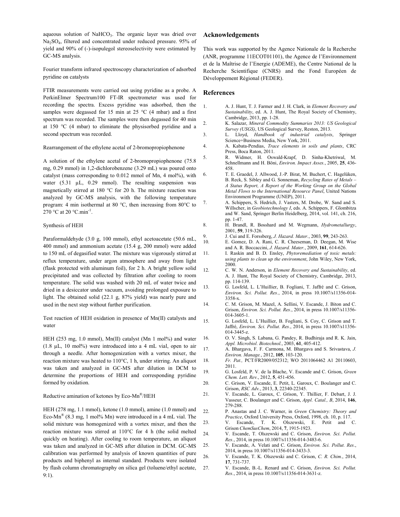aqueous solution of NaHCO<sub>3</sub>. The organic layer was dried over Na2SO<sup>4</sup> , filtered and concentrated under reduced pressure. 95% of yield and 90% of (-)-isopulegol stereoselectivity were estimated by GC-MS analysis.

Fourier transform infrared spectroscopy characterization of adsorbed pyridine on catalysts

FTIR measurements were carried out using pyridine as a probe. A PerkinElmer Spectrum100 FT-IR spectrometer was used for recording the spectra. Excess pyridine was adsorbed, then the samples were degassed for 15 min at 25  $^{\circ}$ C (4 mbar) and a first spectrum was recorded. The samples were then degassed for 40 min at 150 °C (4 mbar) to eliminate the physisorbed pyridine and a second spectrum was recorded.

Rearrangement of the ethylene acetal of 2-bromopropiophenone

A solution of the ethylene acetal of 2-bromopropiophenone (75.8 mg, 0.29 mmol) in 1,2-dichlorobenzene (3.29 mL) was poured onto catalyst (mass corresponding to 0.012 mmol of Mn, 4 mol%), with water (5.31 µL, 0.29 mmol). The resulting suspension was magnetically stirred at 180 °C for 20 h. The mixture reaction was analyzed by GC-MS analysis, with the following temperature program: 4 min isothermal at 80 °C, then increasing from 80°C to 270 °C at 20 °C.min<sup>-1</sup>.

#### Synthesis of HEH

Paraformaldehyde (3.0 g, 100 mmol), ethyl acetoacetate (50.6 mL, 400 mmol) and ammonium acetate (15.4 g, 200 mmol) were added to 150 mL of degasified water. The mixture was vigorously stirred at reflux temperature, under argon atmosphere and away from light (flask protected with aluminum foil), for 2 h. A bright yellow solid precipitated and was collected by filtration after cooling to room temperature. The solid was washed with 20 mL of water twice and dried in a desiccator under vacuum, avoiding prolonged exposure to light. The obtained solid (22.1 g, 87% yield) was nearly pure and used in the next step without further purification.

Test reaction of HEH oxidation in presence of Mn(II) catalysts and water

HEH (253 mg, 1.0 mmol), Mn(II) catalyst (Mn 1 mol%) and water  $(1.8 \mu L, 10 \text{ mol})$ % were introduced into a 4 mL vial, open to air through a needle. After homogenization with a vortex mixer, the reaction mixture was heated to 110°C, 1 h, under stirring. An aliquot was taken and analyzed in GC-MS after dilution in DCM to determine the proportions of HEH and corresponding pyridine formed by oxidation.

### Reductive amination of ketones by Eco-Mn® /HEH

HEH (278 mg, 1.1 mmol), ketone (1.0 mmol), amine (1.0 mmol) and Eco-Mn<sup>®</sup> (8.3 mg, 1 mol% Mn) were introduced in a 4 mL vial. The solid mixture was homogenized with a vortex mixer, and then the reaction mixture was stirred at 110°C for 4 h (the solid melted quickly on heating). After cooling to room temperature, an aliquot was taken and analyzed in GC-MS after dilution in DCM. GC-MS calibration was performed by analysis of known quantities of pure products and biphenyl as internal standard. Products were isolated by flash column chromatography on silica gel (toluene/ethyl acetate, 9:1).

# **Acknowledgements**

This work was supported by the Agence Nationale de la Recherche (ANR, programme 11ECOT01101), the Agence de l'Environnement et de la Maîtrise de l'Energie (ADEME), the Centre National de la Recherche Scientifique (CNRS) and the Fond Européen de Développement Régional (FEDER).

# **References**

- 1. A. J. Hunt, T. J. Farmer and J. H. Clark, in *Element Recovery and Sustainability*, ed. A. J. Hunt, The Royal Society of Chemistry, Cambridge, 2013, pp. 1-28.
- 2. K. Salazar, *Mineral Commodity Summaries 2013: US Geological Survey (USGS)*, US Geological Survey, Reston, 2013.
- 3. L. Lloyd, *Handbook of industrial catalysts*, Springer Science+Business Media, New York, 2011.
- 4. A. Kabata-Pendias, *Trace elements in soils and plants*, CRC Press, Boca Raton, 2011.
- 5. R. Widmer, H. Oswald-Krapf, D. Sinha-Khetriwal, M. Schnellmann and H. Böni, *Environ. Impact Asses.*, 2005, **25**, 436- 458.
- 6. T. E. Graedel, J. Allwood, J.-P. Birat, M. Buchert, C. Hagelüken, B. Reck, S. Sibley and G. Sonneman, *Recycling Rates of Metals – A Status Report, A Report of the Working Group on the Global Metal Flows to the International Resource Panel*, United Nations Environment Programme (UNEP), 2011.
- 7. A. Schippers, S. Hedrich, J. Vasters, M. Drobe, W. Sand and S. Willscher, in *Geobiotechnology I*, eds. A. Schippers, F. Glombitza and W. Sand, Springer Berlin Heidelberg, 2014, vol. 141, ch. 216, pp. 1-47.
- 8. H. Brandl, R. Bosshard and M. Wegmann, *Hydrometallurgy*, 2001, **59**, 319-326.
- 9. J. Cui and E. Forssberg, *J. Hazard. Mater.*, 2003, **99**, 243-263.
- 10. E. Gomez, D. A. Rani, C. R. Cheeseman, D. Deegan, M. Wise and A. R. Boccaccini, *J. Hazard. Mater.*, 2009, **161**, 614-626.
- 11. I. Raskin and B. D. Ensley, *Phytoremediation of toxic metals: using plants to clean up the environment*, John Wiley, New York, 2000.
- 12. C. W. N. Anderson, in *Element Recovery and Sustainability*, ed. A. J. Hunt, The Royal Society of Chemistry, Cambridge, 2013, pp. 114-139.
- 13. G. Losfeld, L. L'Huillier, B. Fogliani, T. Jaffré and C. Grison, *Environ. Sci. Pollut. Res.*, 2014, in press 10.1007/s11356-014- 3358-x.
- 14. C. M. Grison, M. Mazel, A. Sellini, V. Escande, J. Biton and C. Grison, *Environ. Sci. Pollut. Res.*, 2014, in press 10.1007/s11356- 014-3605-1.
- 15. G. Losfeld, L. L'Huillier, B. Fogliani, S. Coy, C. Grison and T. Jaffré, *Environ. Sci. Pollut. Res.*, 2014, in press 10.1007/s11356- 014-3445-z.
- 16. O. V. Singh, S. Labana, G. Pandey, R. Budhiraja and R. K. Jain, *Appl. Microbiol. Biotechnol.*, 2003, **61**, 405-412.
- 17. A. Bhargava, F. F. Carmona, M. Bhargava and S. Srivastava, *J. Environ. Manage.*, 2012, **105**, 103-120.
- 18. *Fr. Pat.,* PCT/FR2009/052312; WO 2011064462 A1 20110603, 2011.
- 19. G. Losfeld, P. V. de la Blache, V. Escande and C. Grison, *Green Chem. Lett. Rev.*, 2012, **5**, 451-456.
- 20. C. Grison, V. Escande, E. Petit, L. Garoux, C. Boulanger and C. Grison, *RSC Adv.*, 2013, **3**, 22340-22345.
- 21. V. Escande, L. Garoux, C. Grison, Y. Thillier, F. Debart, J. J. Vasseur, C. Boulanger and C. Grison, *Appl. Catal., B*, 2014, **146**, 279-288.
- 22. P. Anastas and J. C. Warner, in *Green Chemistry: Theory and Practice*, Oxford University Press, Oxford, 1998, ch. 10, p. 117.
- 23. V. Escande, T. K. Olszewski, E. Petit and C. Grison *ChemSusChem*, 2014, **7**, 1915-1923.
- 24. V. Escande, T. Olszewski and C. Grison, *Environ. Sci. Pollut. Res.*, 2014, in press 10.1007/s11356-014-3483-6.
- 25. V. Escande, A. Velati and C. Grison, *Environ. Sci. Pollut. Res.*, 2014, in press 10.1007/s11356-014-3433-3.
- 26. V. Escande, T. K. Olszewski and C. Grison, *C. R. Chim.*, 2014, **17**, 731-737.
- 27. V. Escande, B.-L. Renard and C. Grison, *Environ. Sci. Pollut. Res.*, 2014, in press 10.1007/s11356-014-3631-z.